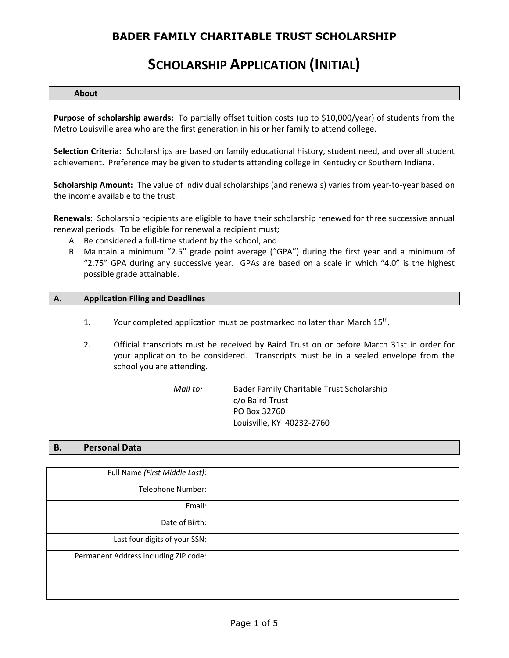# **SCHOLARSHIP APPLICATION (INITIAL)**

#### **About**

**Purpose of scholarship awards:** To partially offset tuition costs (up to \$10,000/year) of students from the Metro Louisville area who are the first generation in his or her family to attend college.

**Selection Criteria:** Scholarships are based on family educational history, student need, and overall student achievement. Preference may be given to students attending college in Kentucky or Southern Indiana.

**Scholarship Amount:** The value of individual scholarships (and renewals) varies from year‐to‐year based on the income available to the trust.

**Renewals:** Scholarship recipients are eligible to have their scholarship renewed for three successive annual renewal periods. To be eligible for renewal a recipient must;

- A. Be considered a full-time student by the school, and
- B. Maintain a minimum "2.5" grade point average ("GPA") during the first year and a minimum of "2.75" GPA during any successive year. GPAs are based on a scale in which "4.0" is the highest possible grade attainable.

#### **A. Application Filing and Deadlines**

- 1. Your completed application must be postmarked no later than March  $15<sup>th</sup>$ .
- 2. Official transcripts must be received by Baird Trust on or before March 31st in order for your application to be considered. Transcripts must be in a sealed envelope from the school you are attending.

*Mail to:* Bader Family Charitable Trust Scholarship c/o Baird Trust PO Box 32760 Louisville, KY 40232‐2760

#### **B. Personal Data**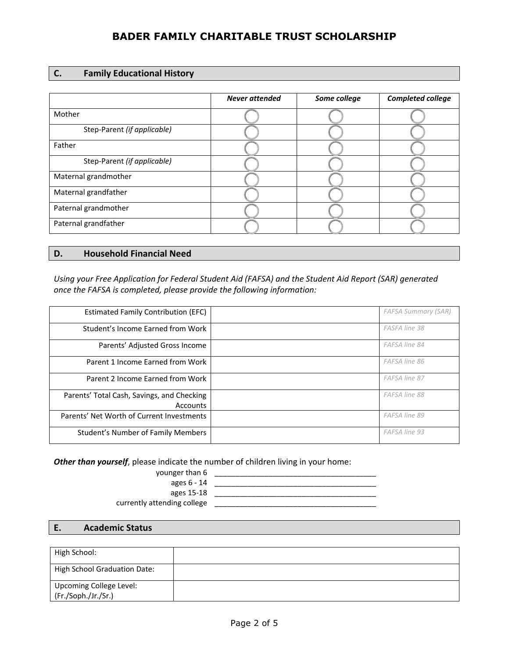| C. |  | <b>Family Educational History</b> |  |
|----|--|-----------------------------------|--|
|----|--|-----------------------------------|--|

|                             | <b>Never attended</b> | Some college | Completed college |
|-----------------------------|-----------------------|--------------|-------------------|
| Mother                      |                       |              |                   |
| Step-Parent (if applicable) |                       |              |                   |
| Father                      |                       |              |                   |
| Step-Parent (if applicable) |                       |              |                   |
| Maternal grandmother        |                       |              |                   |
| Maternal grandfather        |                       |              |                   |
| Paternal grandmother        |                       |              |                   |
| Paternal grandfather        |                       |              |                   |

### **D. Household Financial Need**

*Using your Free Application for Federal Student Aid (FAFSA) and the Student Aid Report (SAR) generated once the FAFSA is completed, please provide the following information:* 

| <b>Estimated Family Contribution (EFC)</b>                    | <b>FAFSA Summary (SAR)</b> |
|---------------------------------------------------------------|----------------------------|
| Student's Income Earned from Work                             | FASFA line 38              |
| Parents' Adjusted Gross Income                                | FAFSA line 84              |
| Parent 1 Income Earned from Work                              | FAFSA line 86              |
| Parent 2 Income Earned from Work                              | FAFSA line 87              |
| Parents' Total Cash, Savings, and Checking<br><b>Accounts</b> | FAFSA line 88              |
| Parents' Net Worth of Current Investments                     | FAFSA line 89              |
| Student's Number of Family Members                            | FAFSA line 93              |

*Other than yourself*, please indicate the number of children living in your home:

| younger than 6 |  |
|----------------|--|
| ages 6 - 14    |  |
|                |  |

ages 15‐18 \_\_\_\_\_\_\_\_\_\_\_\_\_\_\_\_\_\_\_\_\_\_\_\_\_\_\_\_\_\_\_\_\_\_\_\_\_\_\_

currently attending college **different contained** and contained a set of the set of the set of the set of the set of the set of the set of the set of the set of the set of the set of the set of the set of the set of the se

### **E. Academic Status**

| High School:                                   |  |
|------------------------------------------------|--|
| <b>High School Graduation Date:</b>            |  |
| Upcoming College Level:<br>(Fr./Soph./Jr./Sr.) |  |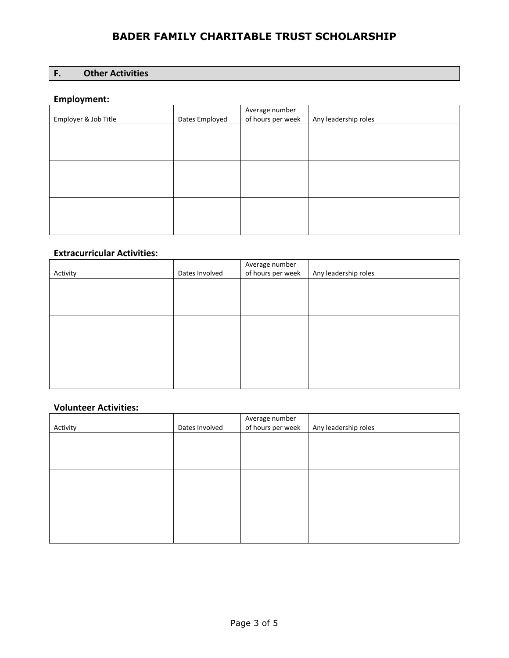### **F. Other Activities**

### **Employment:**

|                      |                | Average number    |                      |
|----------------------|----------------|-------------------|----------------------|
| Employer & Job Title | Dates Employed | of hours per week | Any leadership roles |
|                      |                |                   |                      |
|                      |                |                   |                      |
|                      |                |                   |                      |
|                      |                |                   |                      |
|                      |                |                   |                      |
|                      |                |                   |                      |
|                      |                |                   |                      |
|                      |                |                   |                      |
|                      |                |                   |                      |
|                      |                |                   |                      |
|                      |                |                   |                      |
|                      |                |                   |                      |

### **Extracurricular Activities:**

| Activity | Dates Involved | Average number<br>of hours per week | Any leadership roles |
|----------|----------------|-------------------------------------|----------------------|
|          |                |                                     |                      |
|          |                |                                     |                      |
|          |                |                                     |                      |
|          |                |                                     |                      |
|          |                |                                     |                      |
|          |                |                                     |                      |

### **Volunteer Activities:**

| Activity | Dates Involved | Average number<br>of hours per week | Any leadership roles |
|----------|----------------|-------------------------------------|----------------------|
|          |                |                                     |                      |
|          |                |                                     |                      |
|          |                |                                     |                      |
|          |                |                                     |                      |
|          |                |                                     |                      |
|          |                |                                     |                      |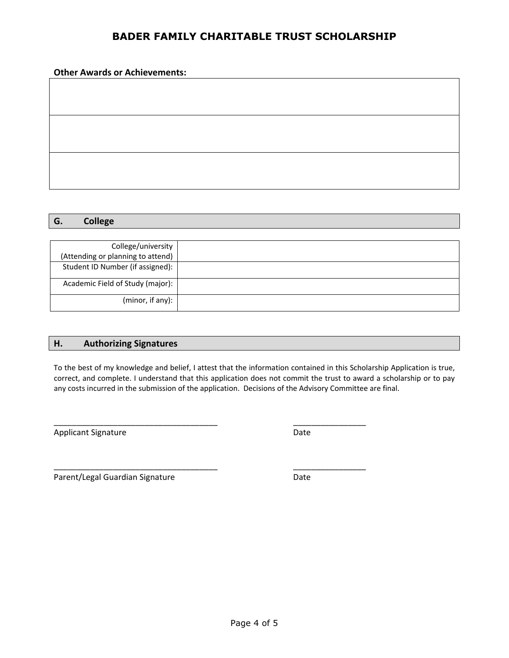#### **Other Awards or Achievements:**

### **G. College**

| College/university                |  |
|-----------------------------------|--|
| (Attending or planning to attend) |  |
| Student ID Number (if assigned):  |  |
| Academic Field of Study (major):  |  |
| (minor, if any):                  |  |

#### **H. Authorizing Signatures**

To the best of my knowledge and belief, I attest that the information contained in this Scholarship Application is true, correct, and complete. I understand that this application does not commit the trust to award a scholarship or to pay any costs incurred in the submission of the application. Decisions of the Advisory Committee are final.

\_\_\_\_\_\_\_\_\_\_\_\_\_\_\_\_\_\_\_\_\_\_\_\_\_\_\_\_\_\_\_\_\_\_\_\_ \_\_\_\_\_\_\_\_\_\_\_\_\_\_\_\_

Applicant Signature Date

Parent/Legal Guardian Signature Date

\_\_\_\_\_\_\_\_\_\_\_\_\_\_\_\_\_\_\_\_\_\_\_\_\_\_\_\_\_\_\_\_\_\_\_\_ \_\_\_\_\_\_\_\_\_\_\_\_\_\_\_\_